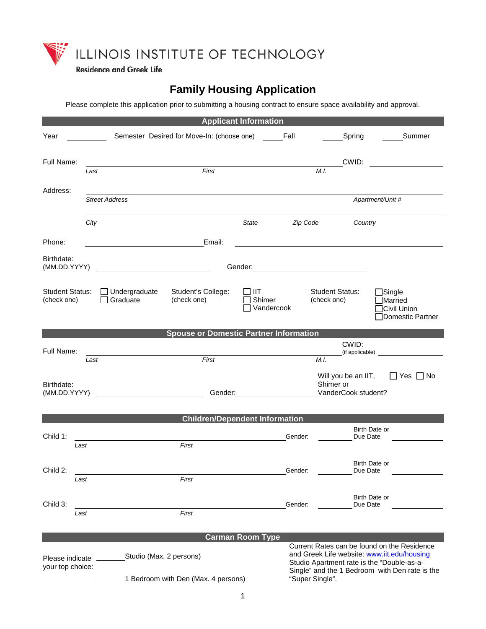

**Residence and Greek Life** 

# **Family Housing Application**

Please complete this application prior to submitting a housing contract to ensure space availability and approval.

| <b>Applicant Information</b>          |                                             |                                                 |                                                                                                                                                                                                                               |          |                                       |                           |                                                                                                                                                                                            |  |
|---------------------------------------|---------------------------------------------|-------------------------------------------------|-------------------------------------------------------------------------------------------------------------------------------------------------------------------------------------------------------------------------------|----------|---------------------------------------|---------------------------|--------------------------------------------------------------------------------------------------------------------------------------------------------------------------------------------|--|
| Year                                  |                                             | Semester Desired for Move-In: (choose one) Fall |                                                                                                                                                                                                                               |          |                                       | Spring                    | Summer                                                                                                                                                                                     |  |
| Full Name:                            | Last                                        | First                                           |                                                                                                                                                                                                                               |          | M.I.                                  | CWID:                     |                                                                                                                                                                                            |  |
|                                       |                                             |                                                 |                                                                                                                                                                                                                               |          |                                       |                           |                                                                                                                                                                                            |  |
| Address:                              |                                             |                                                 |                                                                                                                                                                                                                               |          |                                       |                           |                                                                                                                                                                                            |  |
|                                       | <b>Street Address</b>                       |                                                 |                                                                                                                                                                                                                               |          |                                       |                           | Apartment/Unit #                                                                                                                                                                           |  |
|                                       | City                                        |                                                 | State                                                                                                                                                                                                                         | Zip Code |                                       | Country                   |                                                                                                                                                                                            |  |
| Phone:                                |                                             | Email:                                          |                                                                                                                                                                                                                               |          |                                       |                           |                                                                                                                                                                                            |  |
| Birthdate:<br>(MM.DD.YYYY)            |                                             | <u> 1989 - Johann Barbara, martin a</u>         |                                                                                                                                                                                                                               |          |                                       |                           |                                                                                                                                                                                            |  |
| <b>Student Status:</b><br>(check one) | $\Box$ Undergraduate<br>Graduate<br>$\perp$ | Student's College:<br>(check one)               | $\parallel$ IIT<br>Shimer<br>Vandercook                                                                                                                                                                                       |          | <b>Student Status:</b><br>(check one) |                           | $\Box$ Single<br>$\Box$ Married<br>Civil Union<br>Domestic Partner                                                                                                                         |  |
|                                       |                                             | <b>Spouse or Domestic Partner Information</b>   |                                                                                                                                                                                                                               |          |                                       |                           |                                                                                                                                                                                            |  |
| Full Name:                            |                                             |                                                 |                                                                                                                                                                                                                               |          | CWID:                                 |                           |                                                                                                                                                                                            |  |
|                                       | Last                                        | First                                           |                                                                                                                                                                                                                               |          | M.I.                                  |                           |                                                                                                                                                                                            |  |
| Birthdate:                            | (MM.DD.YYYY)                                |                                                 | Gender: The Company of the Company of the Company of the Company of the Company of the Company of the Company of the Company of the Company of the Company of the Company of the Company of the Company of the Company of the |          | Shimer or                             | VanderCook student?       | Will you be an IIT, $\Box$ Yes $\Box$ No                                                                                                                                                   |  |
|                                       |                                             | <b>Children/Dependent Information</b>           |                                                                                                                                                                                                                               |          |                                       |                           |                                                                                                                                                                                            |  |
| Child 1:                              |                                             |                                                 |                                                                                                                                                                                                                               | Gender:  |                                       | Birth Date or<br>Due Date |                                                                                                                                                                                            |  |
| Last<br>Child 2:<br>Last              |                                             | First<br>First                                  |                                                                                                                                                                                                                               | Gender:  |                                       | Birth Date or<br>Due Date |                                                                                                                                                                                            |  |
| Child 3:<br>Last                      |                                             | First                                           |                                                                                                                                                                                                                               | Gender:  |                                       | Birth Date or<br>Due Date |                                                                                                                                                                                            |  |
|                                       |                                             |                                                 | <b>Carman Room Type</b>                                                                                                                                                                                                       |          |                                       |                           |                                                                                                                                                                                            |  |
| Please indicate<br>your top choice:   |                                             | Studio (Max. 2 persons)                         |                                                                                                                                                                                                                               |          |                                       |                           | Current Rates can be found on the Residence<br>and Greek Life website: www.iit.edu/housing<br>Studio Apartment rate is the "Double-as-a-<br>Single" and the 1 Bedroom with Den rate is the |  |
|                                       |                                             | 1 Bedroom with Den (Max. 4 persons)             |                                                                                                                                                                                                                               |          | "Super Single".                       |                           |                                                                                                                                                                                            |  |